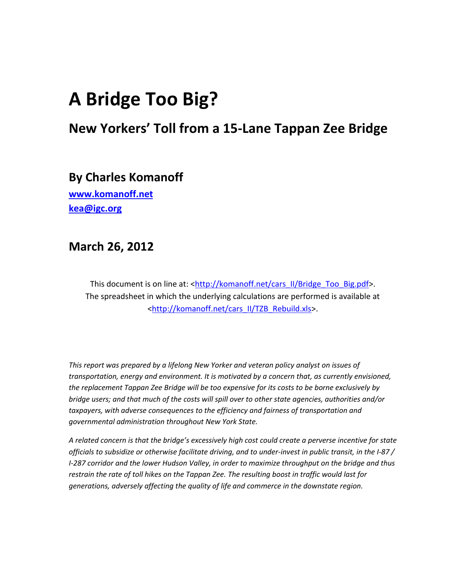# **A Bridge Too Big?**

# **New Yorkers' Toll from a 15-Lane Tappan Zee Bridge**

**By Charles Komanoff**

**[www.komanoff.net](http://www.komanoff.net/) [kea@igc.org](mailto:kea@igc.org)** 

# **March 26, 2012**

This document is on line at: [<http://komanoff.net/cars\\_II/Bridge\\_Too\\_Big.pdf>](http://komanoff.net/cars_II/Bridge_Too_Big.pdf). The spreadsheet in which the underlying calculations are performed is available at [<http://komanoff.net/cars\\_II/TZB\\_Rebuild.xls>](http://komanoff.net/cars_II/TZB_Rebuild.xls).

*This report was prepared by a lifelong New Yorker and veteran policy analyst on issues of transportation, energy and environment. It is motivated by a concern that, as currently envisioned, the replacement Tappan Zee Bridge will be too expensive for its costs to be borne exclusively by bridge users; and that much of the costs will spill over to other state agencies, authorities and/or taxpayers, with adverse consequences to the efficiency and fairness of transportation and governmental administration throughout New York State.*

*A related concern is that the bridge's excessively high cost could create a perverse incentive for state officials to subsidize or otherwise facilitate driving, and to under-invest in public transit, in the I-87 / I-287 corridor and the lower Hudson Valley, in order to maximize throughput on the bridge and thus restrain the rate of toll hikes on the Tappan Zee. The resulting boost in traffic would last for generations, adversely affecting the quality of life and commerce in the downstate region.*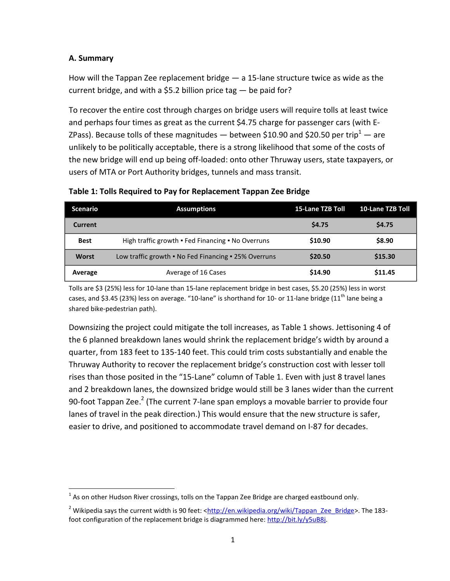#### **A. Summary**

 $\overline{a}$ 

How will the Tappan Zee replacement bridge — a 15-lane structure twice as wide as the current bridge, and with a \$5.2 billion price tag  $-$  be paid for?

To recover the entire cost through charges on bridge users will require tolls at least twice and perhaps four times as great as the current \$4.75 charge for passenger cars (with E-ZPass). Because tolls of these magnitudes — between \$10.90 and \$20.50 per trip<sup>1</sup> — are unlikely to be politically acceptable, there is a strong likelihood that some of the costs of the new bridge will end up being off-loaded: onto other Thruway users, state taxpayers, or users of MTA or Port Authority bridges, tunnels and mass transit.

| <b>Scenario</b> | <b>Assumptions</b>                                   | <b>15-Lane TZB Toll</b> | 10-Lane TZB Toll |
|-----------------|------------------------------------------------------|-------------------------|------------------|
| Current         |                                                      | \$4.75                  | \$4.75           |
| <b>Best</b>     | High traffic growth • Fed Financing • No Overruns    | \$10.90                 | \$8.90           |
| <b>Worst</b>    | Low traffic growth • No Fed Financing • 25% Overruns | \$20.50                 | \$15.30          |
| Average         | Average of 16 Cases                                  | \$14.90                 | \$11.45          |

**Table 1: Tolls Required to Pay for Replacement Tappan Zee Bridge** 

Tolls are \$3 (25%) less for 10-lane than 15-lane replacement bridge in best cases, \$5.20 (25%) less in worst cases, and \$3.45 (23%) less on average. "10-lane" is shorthand for 10- or 11-lane bridge (11<sup>th</sup> lane being a shared bike-pedestrian path).

Downsizing the project could mitigate the toll increases, as Table 1 shows. Jettisoning 4 of the 6 planned breakdown lanes would shrink the replacement bridge's width by around a quarter, from 183 feet to 135-140 feet. This could trim costs substantially and enable the Thruway Authority to recover the replacement bridge's construction cost with lesser toll rises than those posited in the "15-Lane" column of Table 1. Even with just 8 travel lanes and 2 breakdown lanes, the downsized bridge would still be 3 lanes wider than the current 90-foot Tappan Zee.<sup>2</sup> (The current 7-lane span employs a movable barrier to provide four lanes of travel in the peak direction.) This would ensure that the new structure is safer, easier to drive, and positioned to accommodate travel demand on I-87 for decades.

 $^1$  As on other Hudson River crossings, tolls on the Tappan Zee Bridge are charged eastbound only.

<sup>&</sup>lt;sup>2</sup> Wikipedia says the current width is 90 feet: < $\frac{http://en.wikipedia.org/wiki/Tappan-ZeeBridge}{http://en.wikipedia.org/wiki/Tappan-ZeeBridge}$ . The 183foot configuration of the replacement bridge is diagrammed here: [http://bit.ly/y5uB8j.](http://bit.ly/y5uB8j)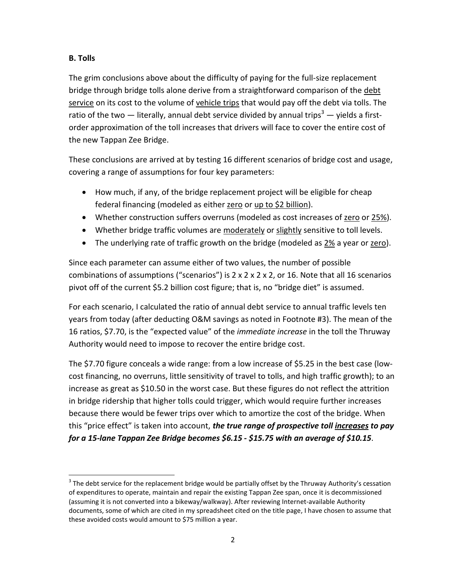## **B. Tolls**

 $\overline{a}$ 

The grim conclusions above about the difficulty of paying for the full-size replacement bridge through bridge tolls alone derive from a straightforward comparison of the debt service on its cost to the volume of vehicle trips that would pay off the debt via tolls. The ratio of the two — literally, annual debt service divided by annual trips<sup>3</sup> — yields a firstorder approximation of the toll increases that drivers will face to cover the entire cost of the new Tappan Zee Bridge.

These conclusions are arrived at by testing 16 different scenarios of bridge cost and usage, covering a range of assumptions for four key parameters:

- How much, if any, of the bridge replacement project will be eligible for cheap federal financing (modeled as either zero or up to \$2 billion).
- Whether construction suffers overruns (modeled as cost increases of zero or 25%).
- Whether bridge traffic volumes are moderately or slightly sensitive to toll levels.
- The underlying rate of traffic growth on the bridge (modeled as 2% a year or zero).

Since each parameter can assume either of two values, the number of possible combinations of assumptions ("scenarios") is  $2 \times 2 \times 2 \times 2$ , or 16. Note that all 16 scenarios pivot off of the current \$5.2 billion cost figure; that is, no "bridge diet" is assumed.

For each scenario, I calculated the ratio of annual debt service to annual traffic levels ten years from today (after deducting O&M savings as noted in Footnote #3). The mean of the 16 ratios, \$7.70, is the "expected value" of the *immediate increase* in the toll the Thruway Authority would need to impose to recover the entire bridge cost.

The \$7.70 figure conceals a wide range: from a low increase of \$5.25 in the best case (lowcost financing, no overruns, little sensitivity of travel to tolls, and high traffic growth); to an increase as great as \$10.50 in the worst case. But these figures do not reflect the attrition in bridge ridership that higher tolls could trigger, which would require further increases because there would be fewer trips over which to amortize the cost of the bridge. When this "price effect" is taken into account, *the true range of prospective toll increases to pay for a 15-lane Tappan Zee Bridge becomes \$6.15 - \$15.75 with an average of \$10.15*.

 $3$  The debt service for the replacement bridge would be partially offset by the Thruway Authority's cessation of expenditures to operate, maintain and repair the existing Tappan Zee span, once it is decommissioned (assuming it is not converted into a bikeway/walkway). After reviewing Internet-available Authority documents, some of which are cited in my spreadsheet cited on the title page, I have chosen to assume that these avoided costs would amount to \$75 million a year.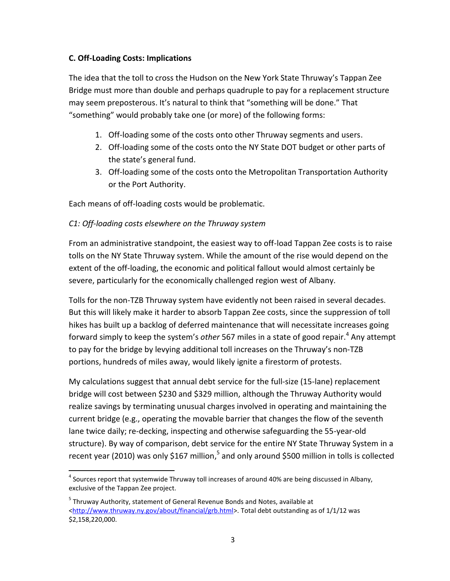#### **C. Off-Loading Costs: Implications**

The idea that the toll to cross the Hudson on the New York State Thruway's Tappan Zee Bridge must more than double and perhaps quadruple to pay for a replacement structure may seem preposterous. It's natural to think that "something will be done." That "something" would probably take one (or more) of the following forms:

- 1. Off-loading some of the costs onto other Thruway segments and users.
- 2. Off-loading some of the costs onto the NY State DOT budget or other parts of the state's general fund.
- 3. Off-loading some of the costs onto the Metropolitan Transportation Authority or the Port Authority.

Each means of off-loading costs would be problematic.

#### *C1: Off-loading costs elsewhere on the Thruway system*

From an administrative standpoint, the easiest way to off-load Tappan Zee costs is to raise tolls on the NY State Thruway system. While the amount of the rise would depend on the extent of the off-loading, the economic and political fallout would almost certainly be severe, particularly for the economically challenged region west of Albany.

Tolls for the non-TZB Thruway system have evidently not been raised in several decades. But this will likely make it harder to absorb Tappan Zee costs, since the suppression of toll hikes has built up a backlog of deferred maintenance that will necessitate increases going forward simply to keep the system's *other* 567 miles in a state of good repair.<sup>4</sup> Any attempt to pay for the bridge by levying additional toll increases on the Thruway's non-TZB portions, hundreds of miles away, would likely ignite a firestorm of protests.

My calculations suggest that annual debt service for the full-size (15-lane) replacement bridge will cost between \$230 and \$329 million, although the Thruway Authority would realize savings by terminating unusual charges involved in operating and maintaining the current bridge (e.g., operating the movable barrier that changes the flow of the seventh lane twice daily; re-decking, inspecting and otherwise safeguarding the 55-year-old structure). By way of comparison, debt service for the entire NY State Thruway System in a recent year (2010) was only \$167 million,<sup>5</sup> and only around \$500 million in tolls is collected

 $\overline{a}$  $^4$  Sources report that systemwide Thruway toll increases of around 40% are being discussed in Albany, exclusive of the Tappan Zee project.

<sup>&</sup>lt;sup>5</sup> Thruway Authority, statement of General Revenue Bonds and Notes, available at [<http://www.thruway.ny.gov/about/financial/grb.html>](http://www.thruway.ny.gov/about/financial/grb.html). Total debt outstanding as of 1/1/12 was \$2,158,220,000.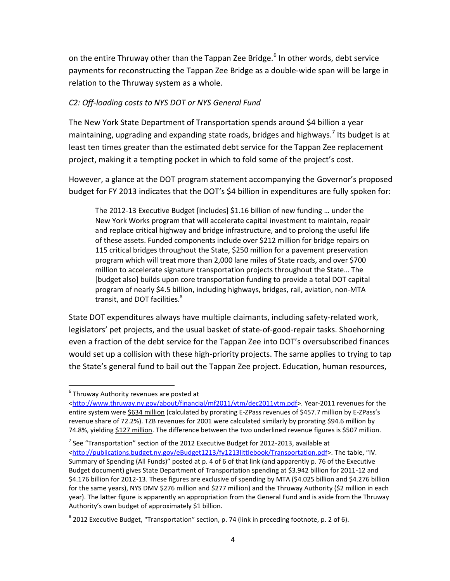on the entire Thruway other than the Tappan Zee Bridge.<sup>6</sup> In other words, debt service payments for reconstructing the Tappan Zee Bridge as a double-wide span will be large in relation to the Thruway system as a whole.

## *C2: Off-loading costs to NYS DOT or NYS General Fund*

The New York State Department of Transportation spends around \$4 billion a year maintaining, upgrading and expanding state roads, bridges and highways.<sup>7</sup> Its budget is at least ten times greater than the estimated debt service for the Tappan Zee replacement project, making it a tempting pocket in which to fold some of the project's cost.

However, a glance at the DOT program statement accompanying the Governor's proposed budget for FY 2013 indicates that the DOT's \$4 billion in expenditures are fully spoken for:

The 2012-13 Executive Budget [includes] \$1.16 billion of new funding … under the New York Works program that will accelerate capital investment to maintain, repair and replace critical highway and bridge infrastructure, and to prolong the useful life of these assets. Funded components include over \$212 million for bridge repairs on 115 critical bridges throughout the State, \$250 million for a pavement preservation program which will treat more than 2,000 lane miles of State roads, and over \$700 million to accelerate signature transportation projects throughout the State… The [budget also] builds upon core transportation funding to provide a total DOT capital program of nearly \$4.5 billion, including highways, bridges, rail, aviation, non-MTA transit, and DOT facilities.<sup>8</sup>

State DOT expenditures always have multiple claimants, including safety-related work, legislators' pet projects, and the usual basket of state-of-good-repair tasks. Shoehorning even a fraction of the debt service for the Tappan Zee into DOT's oversubscribed finances would set up a collision with these high-priority projects. The same applies to trying to tap the State's general fund to bail out the Tappan Zee project. Education, human resources,

 $\overline{a}$ 

 $^6$  Thruway Authority revenues are posted at

[<sup>&</sup>lt;http://www.thruway.ny.gov/about/financial/mf2011/vtm/dec2011vtm.pdf>](http://www.thruway.ny.gov/about/financial/mf2011/vtm/dec2011vtm.pdf). Year-2011 revenues for the entire system were \$634 million (calculated by prorating E-ZPass revenues of \$457.7 million by E-ZPass's revenue share of 72.2%). TZB revenues for 2001 were calculated similarly by prorating \$94.6 million by 74.8%, yielding \$127 million. The difference between the two underlined revenue figures is \$507 million.

 $^7$  See "Transportation" section of the 2012 Executive Budget for 2012-2013, available at [<http://publications.budget.ny.gov/eBudget1213/fy1213littlebook/Transportation.pdf](http://publications.budget.ny.gov/eBudget1213/fy1213littlebook/Transportation.pdf)>. The table, "IV. Summary of Spending (All Funds)" posted at p. 4 of 6 of that link (and apparently p. 76 of the Executive Budget document) gives State Department of Transportation spending at \$3.942 billion for 2011-12 and \$4.176 billion for 2012-13. These figures are exclusive of spending by MTA (\$4.025 billion and \$4.276 billion for the same years), NYS DMV \$276 million and \$277 million) and the Thruway Authority (\$2 million in each year). The latter figure is apparently an appropriation from the General Fund and is aside from the Thruway Authority's own budget of approximately \$1 billion.

 $^8$  2012 Executive Budget, "Transportation" section, p. 74 (link in preceding footnote, p. 2 of 6).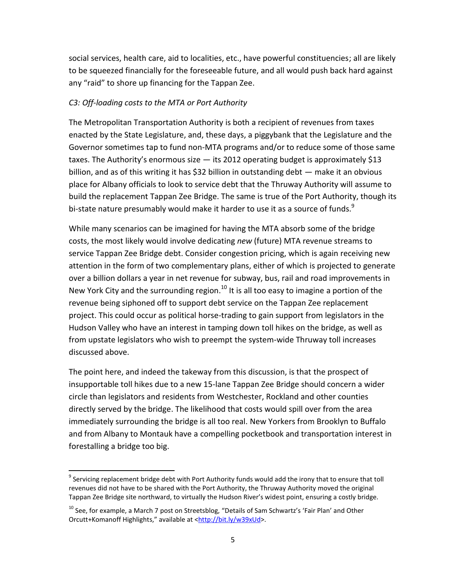social services, health care, aid to localities, etc., have powerful constituencies; all are likely to be squeezed financially for the foreseeable future, and all would push back hard against any "raid" to shore up financing for the Tappan Zee.

#### *C3: Off-loading costs to the MTA or Port Authority*

The Metropolitan Transportation Authority is both a recipient of revenues from taxes enacted by the State Legislature, and, these days, a piggybank that the Legislature and the Governor sometimes tap to fund non-MTA programs and/or to reduce some of those same taxes. The Authority's enormous size  $-$  its 2012 operating budget is approximately \$13 billion, and as of this writing it has \$32 billion in outstanding debt — make it an obvious place for Albany officials to look to service debt that the Thruway Authority will assume to build the replacement Tappan Zee Bridge. The same is true of the Port Authority, though its bi-state nature presumably would make it harder to use it as a source of funds. $9$ 

While many scenarios can be imagined for having the MTA absorb some of the bridge costs, the most likely would involve dedicating *new* (future) MTA revenue streams to service Tappan Zee Bridge debt. Consider congestion pricing, which is again receiving new attention in the form of two complementary plans, either of which is projected to generate over a billion dollars a year in net revenue for subway, bus, rail and road improvements in New York City and the surrounding region. $^{10}$  It is all too easy to imagine a portion of the revenue being siphoned off to support debt service on the Tappan Zee replacement project. This could occur as political horse-trading to gain support from legislators in the Hudson Valley who have an interest in tamping down toll hikes on the bridge, as well as from upstate legislators who wish to preempt the system-wide Thruway toll increases discussed above.

The point here, and indeed the takeway from this discussion, is that the prospect of insupportable toll hikes due to a new 15-lane Tappan Zee Bridge should concern a wider circle than legislators and residents from Westchester, Rockland and other counties directly served by the bridge. The likelihood that costs would spill over from the area immediately surrounding the bridge is all too real. New Yorkers from Brooklyn to Buffalo and from Albany to Montauk have a compelling pocketbook and transportation interest in forestalling a bridge too big.

 $\overline{a}$ 

 $^9$  Servicing replacement bridge debt with Port Authority funds would add the irony that to ensure that toll revenues did not have to be shared with the Port Authority, the Thruway Authority moved the original Tappan Zee Bridge site northward, to virtually the Hudson River's widest point, ensuring a costly bridge.

 $^{10}$  See, for example, a March 7 post on Streetsblog, "Details of Sam Schwartz's 'Fair Plan' and Other Orcutt+Komanoff Highlights," available at <[http://bit.ly/w39xUd>](http://bit.ly/w39xUd).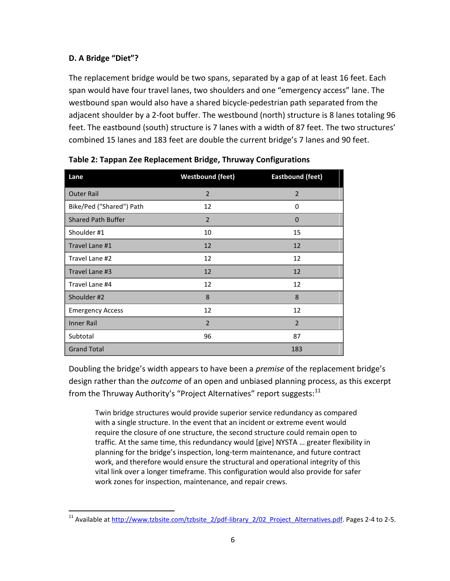## **D. A Bridge "Diet"?**

The replacement bridge would be two spans, separated by a gap of at least 16 feet. Each span would have four travel lanes, two shoulders and one "emergency access" lane. The westbound span would also have a shared bicycle-pedestrian path separated from the adjacent shoulder by a 2-foot buffer. The westbound (north) structure is 8 lanes totaling 96 feet. The eastbound (south) structure is 7 lanes with a width of 87 feet. The two structures' combined 15 lanes and 183 feet are double the current bridge's 7 lanes and 90 feet.

| Lane                      | <b>Westbound (feet)</b> | <b>Eastbound (feet)</b> |
|---------------------------|-------------------------|-------------------------|
| <b>Outer Rail</b>         | $\overline{2}$          | $\overline{2}$          |
| Bike/Ped ("Shared") Path  | 12                      | $\Omega$                |
| <b>Shared Path Buffer</b> | $\overline{2}$          | $\overline{0}$          |
| Shoulder #1               | 10                      | 15                      |
| Travel Lane #1            | 12                      | 12                      |
| Travel Lane #2            | 12                      | 12                      |
| Travel Lane #3            | 12                      | 12                      |
| Travel Lane #4            | 12                      | 12                      |
| Shoulder #2               | 8                       | 8                       |
| <b>Emergency Access</b>   | 12                      | 12                      |
| <b>Inner Rail</b>         | $\overline{2}$          | $\overline{2}$          |
| Subtotal                  | 96                      | 87                      |
| <b>Grand Total</b>        |                         | 183                     |

Doubling the bridge's width appears to have been a *premise* of the replacement bridge's design rather than the *outcome* of an open and unbiased planning process, as this excerpt from the Thruway Authority's "Project Alternatives" report suggests:<sup>11</sup>

Twin bridge structures would provide superior service redundancy as compared with a single structure. In the event that an incident or extreme event would require the closure of one structure, the second structure could remain open to traffic. At the same time, this redundancy would [give] NYSTA … greater flexibility in planning for the bridge's inspection, long-term maintenance, and future contract work, and therefore would ensure the structural and operational integrity of this vital link over a longer timeframe. This configuration would also provide for safer work zones for inspection, maintenance, and repair crews.

 $\overline{a}$ <sup>11</sup> Available at http://www.tzbsite.com/tzbsite 2/pdf-library 2/02 Project Alternatives.pdf. Pages 2-4 to 2-5.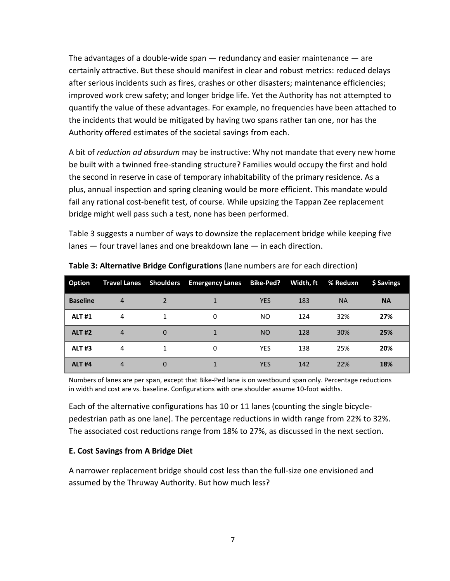The advantages of a double-wide span — redundancy and easier maintenance — are certainly attractive. But these should manifest in clear and robust metrics: reduced delays after serious incidents such as fires, crashes or other disasters; maintenance efficiencies; improved work crew safety; and longer bridge life. Yet the Authority has not attempted to quantify the value of these advantages. For example, no frequencies have been attached to the incidents that would be mitigated by having two spans rather tan one, nor has the Authority offered estimates of the societal savings from each.

A bit of *reduction ad absurdum* may be instructive: Why not mandate that every new home be built with a twinned free-standing structure? Families would occupy the first and hold the second in reserve in case of temporary inhabitability of the primary residence. As a plus, annual inspection and spring cleaning would be more efficient. This mandate would fail any rational cost-benefit test, of course. While upsizing the Tappan Zee replacement bridge might well pass such a test, none has been performed.

Table 3 suggests a number of ways to downsize the replacement bridge while keeping five lanes ― four travel lanes and one breakdown lane ― in each direction.

| Option          |                |          | Travel Lanes Shoulders Emergency Lanes Bike-Ped? |            | Width, ft | % Reduxn  | \$ Savings |
|-----------------|----------------|----------|--------------------------------------------------|------------|-----------|-----------|------------|
| <b>Baseline</b> | 4              |          |                                                  | <b>YES</b> | 183       | <b>NA</b> | <b>NA</b>  |
| <b>ALT #1</b>   | 4              |          | 0                                                | NO.        | 124       | 32%       | 27%        |
| <b>ALT #2</b>   | $\overline{4}$ | $\Omega$ | 1                                                | <b>NO</b>  | 128       | 30%       | 25%        |
| <b>ALT#3</b>    | 4              |          | 0                                                | <b>YES</b> | 138       | 25%       | 20%        |
| <b>ALT #4</b>   | $\overline{4}$ | 0        |                                                  | <b>YES</b> | 142       | 22%       | 18%        |

**Table 3: Alternative Bridge Configurations** (lane numbers are for each direction)

Numbers of lanes are per span, except that Bike-Ped lane is on westbound span only. Percentage reductions in width and cost are vs. baseline. Configurations with one shoulder assume 10-foot widths.

Each of the alternative configurations has 10 or 11 lanes (counting the single bicyclepedestrian path as one lane). The percentage reductions in width range from 22% to 32%. The associated cost reductions range from 18% to 27%, as discussed in the next section.

#### **E. Cost Savings from A Bridge Diet**

A narrower replacement bridge should cost less than the full-size one envisioned and assumed by the Thruway Authority. But how much less?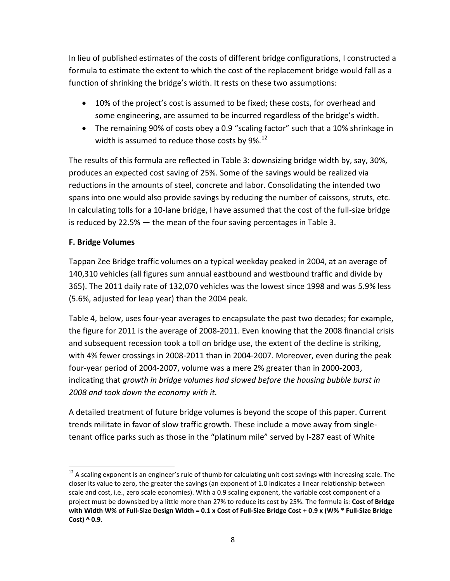In lieu of published estimates of the costs of different bridge configurations, I constructed a formula to estimate the extent to which the cost of the replacement bridge would fall as a function of shrinking the bridge's width. It rests on these two assumptions:

- 10% of the project's cost is assumed to be fixed; these costs, for overhead and some engineering, are assumed to be incurred regardless of the bridge's width.
- The remaining 90% of costs obey a 0.9 "scaling factor" such that a 10% shrinkage in width is assumed to reduce those costs by 9%.<sup>12</sup>

The results of this formula are reflected in Table 3: downsizing bridge width by, say, 30%, produces an expected cost saving of 25%. Some of the savings would be realized via reductions in the amounts of steel, concrete and labor. Consolidating the intended two spans into one would also provide savings by reducing the number of caissons, struts, etc. In calculating tolls for a 10-lane bridge, I have assumed that the cost of the full-size bridge is reduced by 22.5% — the mean of the four saving percentages in Table 3.

# **F. Bridge Volumes**

 $\overline{a}$ 

Tappan Zee Bridge traffic volumes on a typical weekday peaked in 2004, at an average of 140,310 vehicles (all figures sum annual eastbound and westbound traffic and divide by 365). The 2011 daily rate of 132,070 vehicles was the lowest since 1998 and was 5.9% less (5.6%, adjusted for leap year) than the 2004 peak.

Table 4, below, uses four-year averages to encapsulate the past two decades; for example, the figure for 2011 is the average of 2008-2011. Even knowing that the 2008 financial crisis and subsequent recession took a toll on bridge use, the extent of the decline is striking, with 4% fewer crossings in 2008-2011 than in 2004-2007. Moreover, even during the peak four-year period of 2004-2007, volume was a mere 2% greater than in 2000-2003, indicating that *growth in bridge volumes had slowed before the housing bubble burst in 2008 and took down the economy with it.*

A detailed treatment of future bridge volumes is beyond the scope of this paper. Current trends militate in favor of slow traffic growth. These include a move away from singletenant office parks such as those in the "platinum mile" served by I-287 east of White

 $12$  A scaling exponent is an engineer's rule of thumb for calculating unit cost savings with increasing scale. The closer its value to zero, the greater the savings (an exponent of 1.0 indicates a linear relationship between scale and cost, i.e., zero scale economies). With a 0.9 scaling exponent, the variable cost component of a project must be downsized by a little more than 27% to reduce its cost by 25%. The formula is: **Cost of Bridge with Width W% of Full-Size Design Width = 0.1 x Cost of Full-Size Bridge Cost + 0.9 x (W% \* Full-Size Bridge Cost) ^ 0.9**.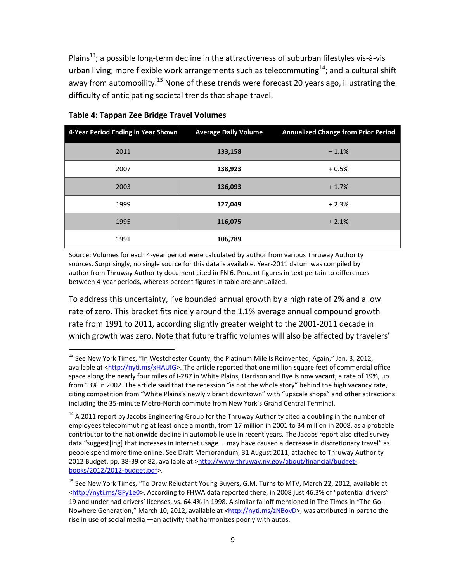Plains<sup>13</sup>; a possible long-term decline in the attractiveness of suburban lifestyles vis-à-vis urban living; more flexible work arrangements such as telecommuting<sup>14</sup>; and a cultural shift away from automobility.<sup>15</sup> None of these trends were forecast 20 years ago, illustrating the difficulty of anticipating societal trends that shape travel.

| 4-Year Period Ending in Year Shown | <b>Average Daily Volume</b> | <b>Annualized Change from Prior Period</b> |
|------------------------------------|-----------------------------|--------------------------------------------|
| 2011                               | 133,158                     | $-1.1%$                                    |
| 2007                               | 138,923                     | $+0.5%$                                    |
| 2003                               | 136,093                     | $+1.7%$                                    |
| 1999                               | 127,049                     | $+2.3%$                                    |
| 1995                               | 116,075                     | $+2.1%$                                    |
| 1991                               | 106,789                     |                                            |

#### **Table 4: Tappan Zee Bridge Travel Volumes**

 $\overline{a}$ 

Source: Volumes for each 4-year period were calculated by author from various Thruway Authority sources. Surprisingly, no single source for this data is available. Year-2011 datum was compiled by author from Thruway Authority document cited in FN 6. Percent figures in text pertain to differences between 4-year periods, whereas percent figures in table are annualized.

To address this uncertainty, I've bounded annual growth by a high rate of 2% and a low rate of zero. This bracket fits nicely around the 1.1% average annual compound growth rate from 1991 to 2011, according slightly greater weight to the 2001-2011 decade in which growth was zero. Note that future traffic volumes will also be affected by travelers'

<sup>&</sup>lt;sup>13</sup> See New York Times, "In Westchester County, the Platinum Mile Is Reinvented, Again," Jan. 3, 2012, available at [<http://nyti.ms/xHAUIG>](http://nyti.ms/xHAUIG). The article reported that one million square feet of commercial office space along the nearly four miles of I-287 in White Plains, Harrison and Rye is now vacant, a rate of 19%, up from 13% in 2002. The article said that the recession "is not the whole story" behind the high vacancy rate, citing competition from "White Plains's newly vibrant downtown" with "upscale shops" and other attractions including the 35-minute Metro-North commute from New York's Grand Central Terminal.

 $14$  A 2011 report by Jacobs Engineering Group for the Thruway Authority cited a doubling in the number of employees telecommuting at least once a month, from 17 million in 2001 to 34 million in 2008, as a probable contributor to the nationwide decline in automobile use in recent years. The Jacobs report also cited survey data "suggest[ing] that increases in internet usage … may have caused a decrease in discretionary travel" as people spend more time online. See Draft Memorandum, 31 August 2011, attached to Thruway Authority 2012 Budget, pp. 38-39 of 82, available at [>http://www.thruway.ny.gov/about/financial/budget](http://www.thruway.ny.gov/about/financial/budget-books/2012/2012-budget.pdf)[books/2012/2012-budget.pdf>](http://www.thruway.ny.gov/about/financial/budget-books/2012/2012-budget.pdf).

<sup>&</sup>lt;sup>15</sup> See New York Times, "To Draw Reluctant Young Buyers, G.M. Turns to MTV, March 22, 2012, available at [<http://nyti.ms/GFy1e0>](http://nyti.ms/GFy1e0). According to FHWA data reported there, in 2008 just 46.3% of "potential drivers" 19 and under had drivers' licenses, vs. 64.4% in 1998. A similar falloff mentioned in The Times in "The Go-Nowhere Generation," March 10, 2012, available at [<http://nyti.ms/zNBovD>](http://nyti.ms/zNBovD), was attributed in part to the rise in use of social media —an activity that harmonizes poorly with autos.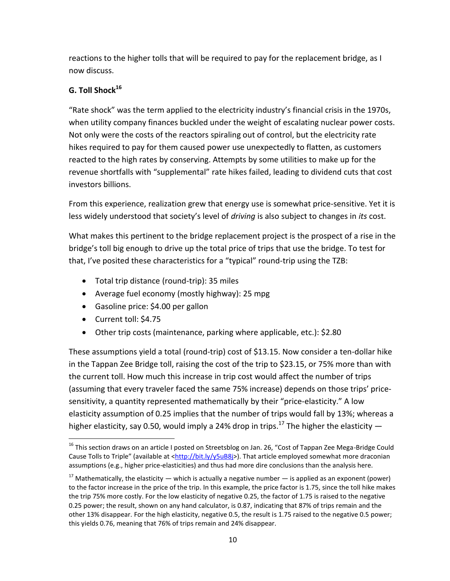reactions to the higher tolls that will be required to pay for the replacement bridge, as I now discuss.

# **G. Toll Shock<sup>16</sup>**

"Rate shock" was the term applied to the electricity industry's financial crisis in the 1970s, when utility company finances buckled under the weight of escalating nuclear power costs. Not only were the costs of the reactors spiraling out of control, but the electricity rate hikes required to pay for them caused power use unexpectedly to flatten, as customers reacted to the high rates by conserving. Attempts by some utilities to make up for the revenue shortfalls with "supplemental" rate hikes failed, leading to dividend cuts that cost investors billions.

From this experience, realization grew that energy use is somewhat price-sensitive. Yet it is less widely understood that society's level of *driving* is also subject to changes in *its* cost.

What makes this pertinent to the bridge replacement project is the prospect of a rise in the bridge's toll big enough to drive up the total price of trips that use the bridge. To test for that, I've posited these characteristics for a "typical" round-trip using the TZB:

- Total trip distance (round-trip): 35 miles
- Average fuel economy (mostly highway): 25 mpg
- Gasoline price: \$4.00 per gallon
- Current toll: \$4.75

 $\overline{a}$ 

Other trip costs (maintenance, parking where applicable, etc.): \$2.80

These assumptions yield a total (round-trip) cost of \$13.15. Now consider a ten-dollar hike in the Tappan Zee Bridge toll, raising the cost of the trip to \$23.15, or 75% more than with the current toll. How much this increase in trip cost would affect the number of trips (assuming that every traveler faced the same 75% increase) depends on those trips' pricesensitivity, a quantity represented mathematically by their "price-elasticity." A low elasticity assumption of 0.25 implies that the number of trips would fall by 13%; whereas a higher elasticity, say 0.50, would imply a 24% drop in trips.<sup>17</sup> The higher the elasticity  $-$ 

<sup>&</sup>lt;sup>16</sup> This section draws on an article I posted on Streetsblog on Jan. 26, "Cost of Tappan Zee Mega-Bridge Could Cause Tolls to Triple" (available at <[http://bit.ly/y5uB8j>](http://bit.ly/y5uB8j)). That article employed somewhat more draconian assumptions (e.g., higher price-elasticities) and thus had more dire conclusions than the analysis here.

<sup>&</sup>lt;sup>17</sup> Mathematically, the elasticity — which is actually a negative number — is applied as an exponent (power) to the factor increase in the price of the trip. In this example, the price factor is 1.75, since the toll hike makes the trip 75% more costly. For the low elasticity of negative 0.25, the factor of 1.75 is raised to the negative 0.25 power; the result, shown on any hand calculator, is 0.87, indicating that 87% of trips remain and the other 13% disappear. For the high elasticity, negative 0.5, the result is 1.75 raised to the negative 0.5 power; this yields 0.76, meaning that 76% of trips remain and 24% disappear.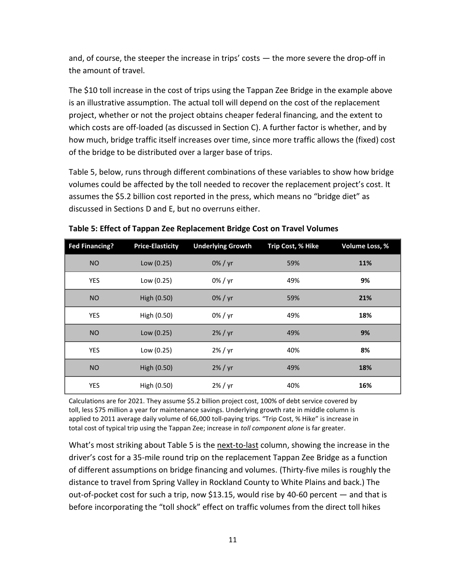and, of course, the steeper the increase in trips' costs — the more severe the drop-off in the amount of travel.

The \$10 toll increase in the cost of trips using the Tappan Zee Bridge in the example above is an illustrative assumption. The actual toll will depend on the cost of the replacement project, whether or not the project obtains cheaper federal financing, and the extent to which costs are off-loaded (as discussed in Section C). A further factor is whether, and by how much, bridge traffic itself increases over time, since more traffic allows the (fixed) cost of the bridge to be distributed over a larger base of trips.

Table 5, below, runs through different combinations of these variables to show how bridge volumes could be affected by the toll needed to recover the replacement project's cost. It assumes the \$5.2 billion cost reported in the press, which means no "bridge diet" as discussed in Sections D and E, but no overruns either.

| <b>Fed Financing?</b> | <b>Price-Elasticity</b> | <b>Underlying Growth</b> | Trip Cost, % Hike | Volume Loss, % |
|-----------------------|-------------------------|--------------------------|-------------------|----------------|
| <b>NO</b>             | Low $(0.25)$            | 0% / yr                  | 59%               | 11%            |
| <b>YES</b>            | Low (0.25)              | $0\%$ / yr               | 49%               | 9%             |
| <b>NO</b>             | High (0.50)             | $0\%$ / yr               | 59%               | 21%            |
| YES                   | High (0.50)             | $0\%$ / yr               | 49%               | 18%            |
| <b>NO</b>             | Low (0.25)              | $2\%$ / yr               | 49%               | 9%             |
| <b>YES</b>            | Low (0.25)              | $2\%$ / yr               | 40%               | 8%             |
| <b>NO</b>             | High (0.50)             | $2\%$ / yr               | 49%               | 18%            |
| YES                   | High (0.50)             | $2\%$ / yr               | 40%               | 16%            |

**Table 5: Effect of Tappan Zee Replacement Bridge Cost on Travel Volumes**

Calculations are for 2021. They assume \$5.2 billion project cost, 100% of debt service covered by toll, less \$75 million a year for maintenance savings. Underlying growth rate in middle column is applied to 2011 average daily volume of 66,000 toll-paying trips. "Trip Cost, % Hike" is increase in total cost of typical trip using the Tappan Zee; increase in *toll component alone* is far greater.

What's most striking about Table 5 is the next-to-last column, showing the increase in the driver's cost for a 35-mile round trip on the replacement Tappan Zee Bridge as a function of different assumptions on bridge financing and volumes. (Thirty-five miles is roughly the distance to travel from Spring Valley in Rockland County to White Plains and back.) The out-of-pocket cost for such a trip, now \$13.15, would rise by 40-60 percent — and that is before incorporating the "toll shock" effect on traffic volumes from the direct toll hikes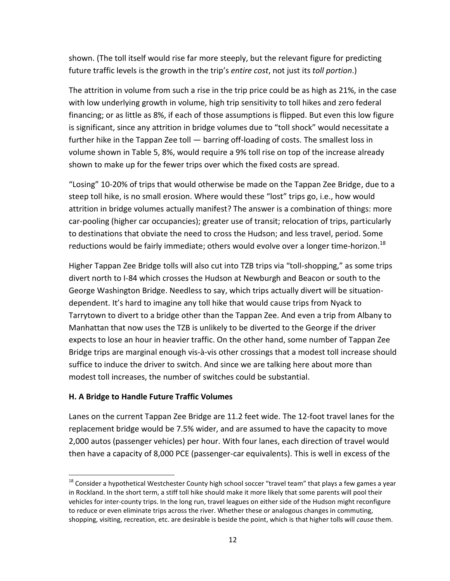shown. (The toll itself would rise far more steeply, but the relevant figure for predicting future traffic levels is the growth in the trip's *entire cost*, not just its *toll portion*.)

The attrition in volume from such a rise in the trip price could be as high as 21%, in the case with low underlying growth in volume, high trip sensitivity to toll hikes and zero federal financing; or as little as 8%, if each of those assumptions is flipped. But even this low figure is significant, since any attrition in bridge volumes due to "toll shock" would necessitate a further hike in the Tappan Zee toll - barring off-loading of costs. The smallest loss in volume shown in Table 5, 8%, would require a 9% toll rise on top of the increase already shown to make up for the fewer trips over which the fixed costs are spread.

"Losing" 10-20% of trips that would otherwise be made on the Tappan Zee Bridge, due to a steep toll hike, is no small erosion. Where would these "lost" trips go, i.e., how would attrition in bridge volumes actually manifest? The answer is a combination of things: more car-pooling (higher car occupancies); greater use of transit; relocation of trips, particularly to destinations that obviate the need to cross the Hudson; and less travel, period. Some reductions would be fairly immediate; others would evolve over a longer time-horizon.<sup>18</sup>

Higher Tappan Zee Bridge tolls will also cut into TZB trips via "toll-shopping," as some trips divert north to I-84 which crosses the Hudson at Newburgh and Beacon or south to the George Washington Bridge. Needless to say, which trips actually divert will be situationdependent. It's hard to imagine any toll hike that would cause trips from Nyack to Tarrytown to divert to a bridge other than the Tappan Zee. And even a trip from Albany to Manhattan that now uses the TZB is unlikely to be diverted to the George if the driver expects to lose an hour in heavier traffic. On the other hand, some number of Tappan Zee Bridge trips are marginal enough vis-à-vis other crossings that a modest toll increase should suffice to induce the driver to switch. And since we are talking here about more than modest toll increases, the number of switches could be substantial.

#### **H. A Bridge to Handle Future Traffic Volumes**

 $\overline{a}$ 

Lanes on the current Tappan Zee Bridge are 11.2 feet wide. The 12-foot travel lanes for the replacement bridge would be 7.5% wider, and are assumed to have the capacity to move 2,000 autos (passenger vehicles) per hour. With four lanes, each direction of travel would then have a capacity of 8,000 PCE (passenger-car equivalents). This is well in excess of the

 $18$  Consider a hypothetical Westchester County high school soccer "travel team" that plays a few games a year in Rockland. In the short term, a stiff toll hike should make it more likely that some parents will pool their vehicles for inter-county trips. In the long run, travel leagues on either side of the Hudson might reconfigure to reduce or even eliminate trips across the river. Whether these or analogous changes in commuting, shopping, visiting, recreation, etc. are desirable is beside the point, which is that higher tolls will *cause* them.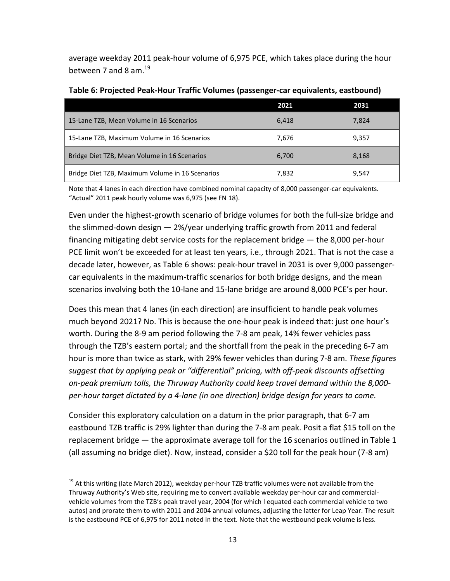average weekday 2011 peak-hour volume of 6,975 PCE, which takes place during the hour between 7 and 8 am.<sup>19</sup>

|                                                 | 2021  | 2031  |
|-------------------------------------------------|-------|-------|
| 15-Lane TZB, Mean Volume in 16 Scenarios        | 6.418 | 7.824 |
| 15-Lane TZB, Maximum Volume in 16 Scenarios     | 7.676 | 9,357 |
| Bridge Diet TZB, Mean Volume in 16 Scenarios    | 6,700 | 8,168 |
| Bridge Diet TZB, Maximum Volume in 16 Scenarios | 7,832 | 9,547 |

Note that 4 lanes in each direction have combined nominal capacity of 8,000 passenger-car equivalents. "Actual" 2011 peak hourly volume was 6,975 (see FN 18).

Even under the highest-growth scenario of bridge volumes for both the full-size bridge and the slimmed-down design — 2%/year underlying traffic growth from 2011 and federal financing mitigating debt service costs for the replacement bridge — the 8,000 per-hour PCE limit won't be exceeded for at least ten years, i.e., through 2021. That is not the case a decade later, however, as Table 6 shows: peak-hour travel in 2031 is over 9,000 passengercar equivalents in the maximum-traffic scenarios for both bridge designs, and the mean scenarios involving both the 10-lane and 15-lane bridge are around 8,000 PCE's per hour.

Does this mean that 4 lanes (in each direction) are insufficient to handle peak volumes much beyond 2021? No. This is because the one-hour peak is indeed that: just one hour's worth. During the 8-9 am period following the 7-8 am peak, 14% fewer vehicles pass through the TZB's eastern portal; and the shortfall from the peak in the preceding 6-7 am hour is more than twice as stark, with 29% fewer vehicles than during 7-8 am. *These figures suggest that by applying peak or "differential" pricing, with off-peak discounts offsetting on-peak premium tolls, the Thruway Authority could keep travel demand within the 8,000 per-hour target dictated by a 4-lane (in one direction) bridge design for years to come.*

Consider this exploratory calculation on a datum in the prior paragraph, that 6-7 am eastbound TZB traffic is 29% lighter than during the 7-8 am peak. Posit a flat \$15 toll on the replacement bridge ― the approximate average toll for the 16 scenarios outlined in Table 1 (all assuming no bridge diet). Now, instead, consider a \$20 toll for the peak hour (7-8 am)

 $\overline{a}$ 

<sup>&</sup>lt;sup>19</sup> At this writing (late March 2012), weekday per-hour TZB traffic volumes were not available from the Thruway Authority's Web site, requiring me to convert available weekday per-hour car and commercialvehicle volumes from the TZB's peak travel year, 2004 (for which I equated each commercial vehicle to two autos) and prorate them to with 2011 and 2004 annual volumes, adjusting the latter for Leap Year. The result is the eastbound PCE of 6,975 for 2011 noted in the text. Note that the westbound peak volume is less.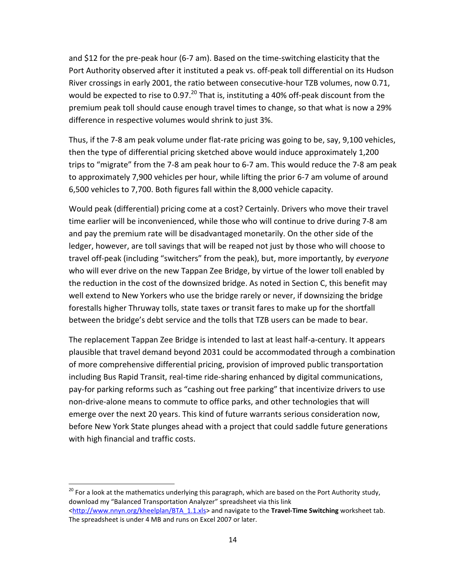and \$12 for the pre-peak hour (6-7 am). Based on the time-switching elasticity that the Port Authority observed after it instituted a peak vs. off-peak toll differential on its Hudson River crossings in early 2001, the ratio between consecutive-hour TZB volumes, now 0.71, would be expected to rise to 0.97.<sup>20</sup> That is, instituting a 40% off-peak discount from the premium peak toll should cause enough travel times to change, so that what is now a 29% difference in respective volumes would shrink to just 3%.

Thus, if the 7-8 am peak volume under flat-rate pricing was going to be, say, 9,100 vehicles, then the type of differential pricing sketched above would induce approximately 1,200 trips to "migrate" from the 7-8 am peak hour to 6-7 am. This would reduce the 7-8 am peak to approximately 7,900 vehicles per hour, while lifting the prior 6-7 am volume of around 6,500 vehicles to 7,700. Both figures fall within the 8,000 vehicle capacity.

Would peak (differential) pricing come at a cost? Certainly. Drivers who move their travel time earlier will be inconvenienced, while those who will continue to drive during 7-8 am and pay the premium rate will be disadvantaged monetarily. On the other side of the ledger, however, are toll savings that will be reaped not just by those who will choose to travel off-peak (including "switchers" from the peak), but, more importantly, by *everyone* who will ever drive on the new Tappan Zee Bridge, by virtue of the lower toll enabled by the reduction in the cost of the downsized bridge. As noted in Section C, this benefit may well extend to New Yorkers who use the bridge rarely or never, if downsizing the bridge forestalls higher Thruway tolls, state taxes or transit fares to make up for the shortfall between the bridge's debt service and the tolls that TZB users can be made to bear.

The replacement Tappan Zee Bridge is intended to last at least half-a-century. It appears plausible that travel demand beyond 2031 could be accommodated through a combination of more comprehensive differential pricing, provision of improved public transportation including Bus Rapid Transit, real-time ride-sharing enhanced by digital communications, pay-for parking reforms such as "cashing out free parking" that incentivize drivers to use non-drive-alone means to commute to office parks, and other technologies that will emerge over the next 20 years. This kind of future warrants serious consideration now, before New York State plunges ahead with a project that could saddle future generations with high financial and traffic costs.

 $\ddot{\phantom{a}}$ 

 $^{20}$  For a look at the mathematics underlying this paragraph, which are based on the Port Authority study, download my "Balanced Transportation Analyzer" spreadsheet via this link [<http://www.nnyn.org/kheelplan/BTA\\_1.1.xls>](http://www.nnyn.org/kheelplan/BTA_1.1.xls) and navigate to the **Travel-Time Switching** worksheet tab. The spreadsheet is under 4 MB and runs on Excel 2007 or later.